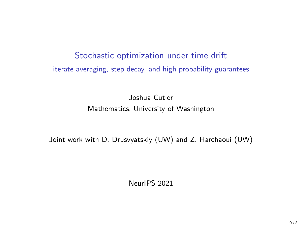# Stochastic optimization under time drift iterate averaging, step decay, and high probability guarantees

Joshua Cutler Mathematics, University of Washington

Joint work with D. Drusvyatskiy (UW) and Z. Harchaoui (UW)

NeurIPS 2021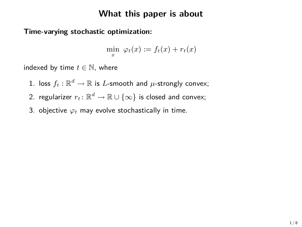# **What this paper is about**

### **Time-varying stochastic optimization:**

$$
\min_x \; \varphi_t(x) := f_t(x) + r_t(x)
$$

indexed by time  $t \in \mathbb{N}$ , where

- $1.$  loss  $f_t: \mathbb{R}^d \rightarrow \mathbb{R}$  is  $L$ -smooth and  $\mu$ -strongly convex;
- 2. regularizer  $r_t \colon \mathbb{R}^d \to \mathbb{R} \cup \{\infty\}$  is closed and convex;
- 3. objective *ϕ<sup>t</sup>* may evolve stochastically in time.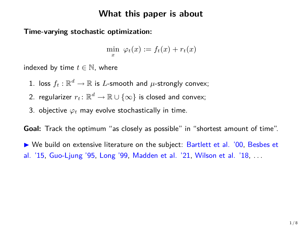### **What this paper is about**

**Time-varying stochastic optimization:**

 $min \varphi_t(x) := f_t(x) + r_t(x)$ *x*

indexed by time  $t \in \mathbb{N}$ , where

- $1.$  loss  $f_t: \mathbb{R}^d \rightarrow \mathbb{R}$  is  $L$ -smooth and  $\mu$ -strongly convex;
- 2. regularizer  $r_t \colon \mathbb{R}^d \to \mathbb{R} \cup \{\infty\}$  is closed and convex;
- 3. objective *ϕ<sup>t</sup>* may evolve stochastically in time.

**Goal:** Track the optimum "as closely as possible" in "shortest amount of time".

 $\triangleright$  We build on extensive literature on the subject: Bartlett et al. '00, Besbes et al. '15, Guo-Ljung '95, Long '99, Madden et al. '21, Wilson et al. '18, . . .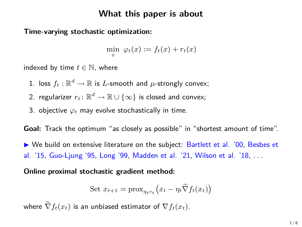### **What this paper is about**

### **Time-varying stochastic optimization:**

 $min \varphi_t(x) := f_t(x) + r_t(x)$ *x*

indexed by time  $t \in \mathbb{N}$ , where

- $1.$  loss  $f_t: \mathbb{R}^d \rightarrow \mathbb{R}$  is  $L$ -smooth and  $\mu$ -strongly convex;
- 2. regularizer  $r_t \colon \mathbb{R}^d \to \mathbb{R} \cup \{\infty\}$  is closed and convex;
- 3. objective *ϕ<sup>t</sup>* may evolve stochastically in time.

**Goal:** Track the optimum "as closely as possible" in "shortest amount of time".

 $\triangleright$  We build on extensive literature on the subject: Bartlett et al. '00, Besbes et al. '15, Guo-Ljung '95, Long '99, Madden et al. '21, Wilson et al. '18, . . .

**Online proximal stochastic gradient method:**

Set 
$$
x_{t+1} = \text{prox}_{\eta_t r_t} (x_t - \eta_t \widetilde{\nabla} f_t(x_t))
$$

where  $\widetilde{\nabla} f_t(x_t)$  is an unbiased estimator of  $\nabla f_t(x_t)$ .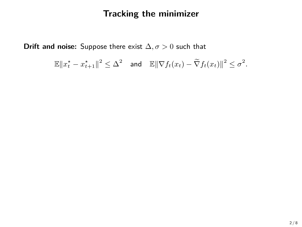# **Tracking the minimizer**

**Drift and noise:** Suppose there exist ∆*, σ >* 0 such that

$$
\mathbb{E}\|x_t^{\star}-x_{t+1}^{\star}\|^2 \leq \Delta^2 \quad \text{and} \quad \mathbb{E}\|\nabla f_t(x_t)-\widetilde{\nabla} f_t(x_t)\|^2 \leq \sigma^2.
$$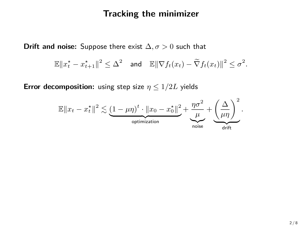# **Tracking the minimizer**

**Drift and noise:** Suppose there exist  $\Delta$ ,  $\sigma > 0$  such that

$$
\mathbb{E}\|x_t^* - x_{t+1}^*\|^2 \leq \Delta^2 \quad \text{and} \quad \mathbb{E}\|\nabla f_t(x_t) - \widetilde{\nabla} f_t(x_t)\|^2 \leq \sigma^2.
$$

**Error decomposition:** using step size  $\eta \leq 1/2L$  yields

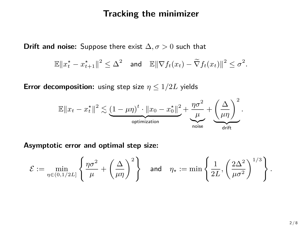### **Tracking the minimizer**

**Drift and noise:** Suppose there exist  $\Delta$ ,  $\sigma > 0$  such that

$$
\mathbb{E}\|x_t^* - x_{t+1}^*\|^2 \leq \Delta^2 \quad \text{and} \quad \mathbb{E}\|\nabla f_t(x_t) - \widetilde{\nabla} f_t(x_t)\|^2 \leq \sigma^2.
$$

**Error decomposition:** using step size  $\eta \leq 1/2L$  yields



**Asymptotic error and optimal step size:**

$$
\mathcal{E}:=\min_{\eta\in(0,1/2L]}\left\{\frac{\eta\sigma^2}{\mu}+\left(\frac{\Delta}{\mu\eta}\right)^2\right\}\quad\text{and}\quad \eta_\star:=\min\left\{\frac{1}{2L},\left(\frac{2\Delta^2}{\mu\sigma^2}\right)^{1/3}\right\}.
$$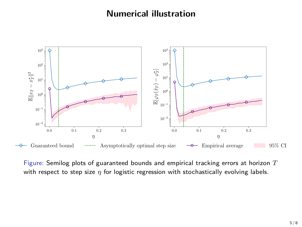# **Numerical illustration**



Figure: Semilog plots of guaranteed bounds and empirical tracking errors at horizon *T* with respect to step size *η* for logistic regression with stochastically evolving labels.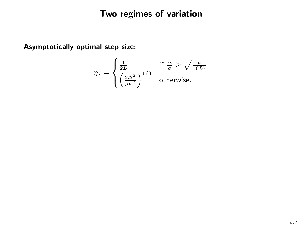**Asymptotically optimal step size:**

$$
\eta_\star = \begin{cases} \frac{1}{2L} & \text{if } \frac{\Delta}{\sigma} \ge \sqrt{\frac{\mu}{16L^3}}\\ \left(\frac{2\Delta^2}{\mu\sigma^2}\right)^{1/3} & \text{otherwise.} \end{cases}
$$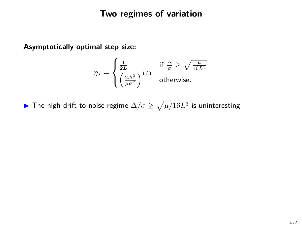**Asymptotically optimal step size:**

$$
\eta_{\star} = \begin{cases} \frac{1}{2L} & \text{if } \frac{\Delta}{\sigma} \ge \sqrt{\frac{\mu}{16L^3}}\\ \left(\frac{2\Delta^2}{\mu\sigma^2}\right)^{1/3} & \text{otherwise.} \end{cases}
$$

**►** The high drift-to-noise regime  $\Delta/\sigma \ge \sqrt{\mu/16L^3}$  is uninteresting.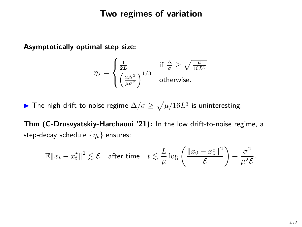**Asymptotically optimal step size:**

$$
\eta_{\star} = \begin{cases} \frac{1}{2L} & \text{if } \frac{\Delta}{\sigma} \ge \sqrt{\frac{\mu}{16L^3}}\\ \left(\frac{2\Delta^2}{\mu\sigma^2}\right)^{1/3} & \text{otherwise.} \end{cases}
$$

**►** The high drift-to-noise regime  $\Delta/\sigma \ge \sqrt{\mu/16L^3}$  is uninteresting.

**Thm (C-Drusvyatskiy-Harchaoui '21):** In the low drift-to-noise regime, a step-decay schedule {*ηt*} ensures:

$$
\mathbb{E} \|x_t - x_t^*\|^2 \lesssim \mathcal{E} \quad \text{after time} \quad t \lesssim \frac{L}{\mu} \log \left( \frac{\|x_0 - x_0^*\|^2}{\mathcal{E}} \right) + \frac{\sigma^2}{\mu^2 \mathcal{E}}.
$$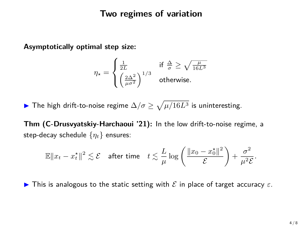**Asymptotically optimal step size:**

$$
\eta_{\star} = \begin{cases} \frac{1}{2L} & \text{if } \frac{\Delta}{\sigma} \ge \sqrt{\frac{\mu}{16L^3}}\\ \left(\frac{2\Delta^2}{\mu\sigma^2}\right)^{1/3} & \text{otherwise.} \end{cases}
$$

**►** The high drift-to-noise regime  $\Delta/\sigma \ge \sqrt{\mu/16L^3}$  is uninteresting.

**Thm (C-Drusvyatskiy-Harchaoui '21):** In the low drift-to-noise regime, a step-decay schedule {*ηt*} ensures:

$$
\mathbb{E} \|x_t - x_t^*\|^2 \lesssim \mathcal{E} \quad \text{after time} \quad t \lesssim \frac{L}{\mu} \log \left( \frac{\|x_0 - x_0^*\|^2}{\mathcal{E}} \right) + \frac{\sigma^2}{\mu^2 \mathcal{E}}.
$$

**I** This is analogous to the static setting with  $\mathcal E$  in place of target accuracy  $\varepsilon$ .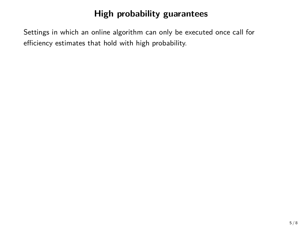Settings in which an online algorithm can only be executed once call for efficiency estimates that hold with high probability.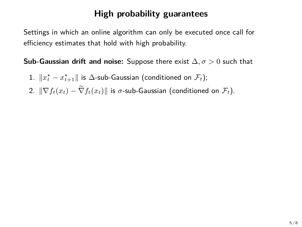Settings in which an online algorithm can only be executed once call for efficiency estimates that hold with high probability.

**Sub-Gaussian drift and noise:** Suppose there exist ∆*, σ >* 0 such that

- $1.$   $\|x_t^\star x_{t+1}^\star\|$  is  $\Delta$ -sub-Gaussian (conditioned on  $\mathcal{F}_t$ );
- 2.  $\|\nabla f_t(x_t) \widetilde{\nabla} f_t(x_t)\|$  is  $\sigma$ -sub-Gaussian (conditioned on  $\mathcal{F}_t$ ).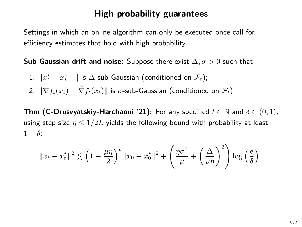Settings in which an online algorithm can only be executed once call for efficiency estimates that hold with high probability.

**Sub-Gaussian drift and noise:** Suppose there exist ∆*, σ >* 0 such that

- $1.$   $\|x_t^\star x_{t+1}^\star\|$  is  $\Delta$ -sub-Gaussian (conditioned on  $\mathcal{F}_t$ );
- 2.  $\|\nabla f_t(x_t) \widetilde{\nabla} f_t(x_t)\|$  is *σ*-sub-Gaussian (conditioned on  $\mathcal{F}_t$ ).

**Thm (C-Drusvyatskiy-Harchaoui '21):** For any specified  $t \in \mathbb{N}$  and  $\delta \in (0,1)$ , using step size  $\eta \leq 1/2L$  yields the following bound with probability at least  $1 - \delta$ :

$$
||x_t - x_t^{\star}||^2 \lesssim \left(1 - \frac{\mu\eta}{2}\right)^t ||x_0 - x_0^{\star}||^2 + \left(\frac{\eta\sigma^2}{\mu} + \left(\frac{\Delta}{\mu\eta}\right)^2\right) \log\left(\frac{e}{\delta}\right).
$$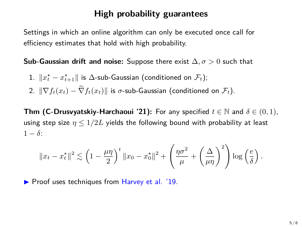Settings in which an online algorithm can only be executed once call for efficiency estimates that hold with high probability.

**Sub-Gaussian drift and noise:** Suppose there exist ∆*, σ >* 0 such that

- $1.$   $\|x_t^\star x_{t+1}^\star\|$  is  $\Delta$ -sub-Gaussian (conditioned on  $\mathcal{F}_t$ );
- 2.  $\|\nabla f_t(x_t) \widetilde{\nabla} f_t(x_t)\|$  is *σ*-sub-Gaussian (conditioned on  $\mathcal{F}_t$ ).

**Thm (C-Drusvyatskiy-Harchaoui '21):** For any specified  $t \in \mathbb{N}$  and  $\delta \in (0,1)$ , using step size  $\eta \leq 1/2L$  yields the following bound with probability at least  $1 - \delta$ :

$$
||x_t - x_t^*||^2 \lesssim \left(1 - \frac{\mu\eta}{2}\right)^t ||x_0 - x_0^*||^2 + \left(\frac{\eta\sigma^2}{\mu} + \left(\frac{\Delta}{\mu\eta}\right)^2\right) \log\left(\frac{e}{\delta}\right).
$$

 $\triangleright$  Proof uses techniques from Harvey et al. '19.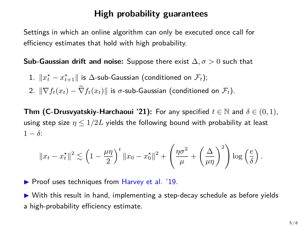Settings in which an online algorithm can only be executed once call for efficiency estimates that hold with high probability.

**Sub-Gaussian drift and noise:** Suppose there exist ∆*, σ >* 0 such that

- $1.$   $\|x_t^\star x_{t+1}^\star\|$  is  $\Delta$ -sub-Gaussian (conditioned on  $\mathcal{F}_t$ );
- 2.  $\|\nabla f_t(x_t) \widetilde{\nabla} f_t(x_t)\|$  is *σ*-sub-Gaussian (conditioned on  $\mathcal{F}_t$ ).

**Thm (C-Drusvyatskiy-Harchaoui '21):** For any specified  $t \in \mathbb{N}$  and  $\delta \in (0,1)$ , using step size  $\eta \leq 1/2L$  yields the following bound with probability at least  $1 - \delta$ :

$$
||x_t - x_t^*||^2 \lesssim \left(1 - \frac{\mu\eta}{2}\right)^t ||x_0 - x_0^*||^2 + \left(\frac{\eta\sigma^2}{\mu} + \left(\frac{\Delta}{\mu\eta}\right)^2\right) \log\left(\frac{e}{\delta}\right).
$$

 $\triangleright$  Proof uses techniques from Harvey et al. '19.

 $\triangleright$  With this result in hand, implementing a step-decay schedule as before yields a high-probability efficiency estimate.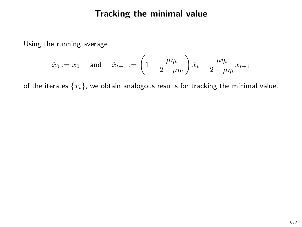Using the running average

$$
\hat{x}_0:=x_0 \quad \text{ and } \quad \hat{x}_{t+1}:=\left(1-\frac{\mu\eta_t}{2-\mu\eta_t}\right)\hat{x}_t+\frac{\mu\eta_t}{2-\mu\eta_t}x_{t+1}
$$

of the iterates  $\{x_t\}$ , we obtain analogous results for tracking the minimal value.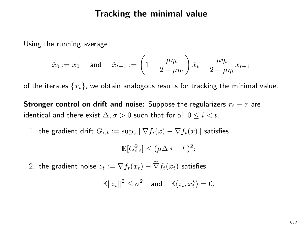Using the running average

$$
\hat{x}_0 := x_0 \quad \text{ and } \quad \hat{x}_{t+1} := \left(1 - \frac{\mu \eta_t}{2 - \mu \eta_t}\right) \hat{x}_t + \frac{\mu \eta_t}{2 - \mu \eta_t} x_{t+1}
$$

of the iterates {*xt*}, we obtain analogous results for tracking the minimal value.

**Stronger control on drift and noise:** Suppose the regularizers  $r_t \equiv r$  are identical and there exist  $\Delta, \sigma > 0$  such that for all  $0 \leq i < t$ ,

1. the gradient drift  $G_{i,t} := \sup_x ||\nabla f_i(x) - \nabla f_t(x)||$  satisfies

 $\mathbb{E}[G_{i,t}^2] \leq (\mu \Delta |i-t|)^2;$ 

2. the gradient noise  $z_t := \nabla f_t(x_t) - \widetilde{\nabla} f_t(x_t)$  satisfies

 $\mathbb{E}\|z_t\|^2 \leq \sigma^2$  and  $\mathbb{E}\langle z_i, x_t^{\star}\rangle = 0.$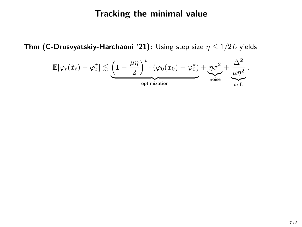**Thm (C-Drusvyatskiy-Harchaoui '21):** Using step size *η* ≤ 1*/*2*L* yields

$$
\mathbb{E}[\varphi_t(\hat{x}_t) - \varphi_t^{\star}] \lesssim \underbrace{\left(1 - \frac{\mu\eta}{2}\right)^t \cdot (\varphi_0(x_0) - \varphi_0^{\star})}_{\text{optimization}} + \underbrace{\eta\sigma^2}_{\text{noise}} + \underbrace{\frac{\Delta^2}{\mu\eta^2}}_{\text{drift}}.
$$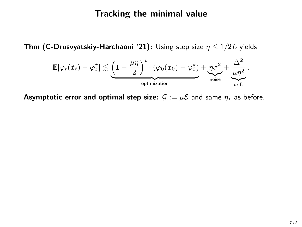**Thm (C-Drusvyatskiy-Harchaoui '21):** Using step size *η* ≤ 1*/*2*L* yields



**Asymptotic error and optimal step size:**  $G := \mu \mathcal{E}$  and same  $\eta_*$  as before.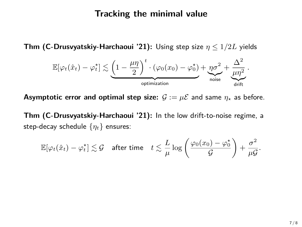**Thm (C-Drusvyatskiy-Harchaoui '21):** Using step size *η* ≤ 1*/*2*L* yields

$$
\mathbb{E}[\varphi_t(\hat{x}_t) - \varphi_t^{\star}] \lesssim \underbrace{\left(1 - \frac{\mu\eta}{2}\right)^t \cdot (\varphi_0(x_0) - \varphi_0^{\star})}_{\text{optimization}} + \underbrace{\eta\sigma^2}_{\text{noise}} + \underbrace{\frac{\Delta^2}{\mu\eta^2}}_{\text{drift}}.
$$

**Asymptotic error and optimal step size:**  $G := \mu \mathcal{E}$  and same  $\eta_*$  as before.

**Thm (C-Drusvyatskiy-Harchaoui '21):** In the low drift-to-noise regime, a step-decay schedule {*ηt*} ensures:

$$
\mathbb{E}[\varphi_t(\hat{x}_t) - \varphi_t^*] \lesssim \mathcal{G} \quad \text{after time} \quad t \lesssim \frac{L}{\mu} \log \left( \frac{\varphi_0(x_0) - \varphi_0^*}{\mathcal{G}} \right) + \frac{\sigma^2}{\mu \mathcal{G}}.
$$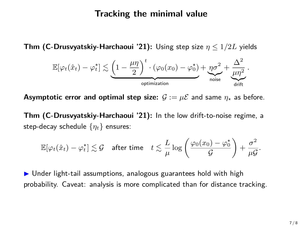**Thm (C-Drusvyatskiy-Harchaoui '21):** Using step size *η* ≤ 1*/*2*L* yields

$$
\mathbb{E}[\varphi_t(\hat{x}_t) - \varphi_t^{\star}] \lesssim \underbrace{\left(1 - \frac{\mu\eta}{2}\right)^t \cdot (\varphi_0(x_0) - \varphi_0^{\star})}_{\text{optimization}} + \underbrace{\eta\sigma^2}_{\text{noise}} + \underbrace{\frac{\Delta^2}{\mu\eta^2}}_{\text{drift}}.
$$

**Asymptotic error and optimal step size:**  $\mathcal{G} := \mu \mathcal{E}$  and same  $\eta_*$  as before.

**Thm (C-Drusvyatskiy-Harchaoui '21):** In the low drift-to-noise regime, a step-decay schedule {*ηt*} ensures:

$$
\mathbb{E}[\varphi_t(\hat{x}_t) - \varphi_t^{\star}] \lesssim \mathcal{G} \quad \text{after time} \quad t \lesssim \frac{L}{\mu} \log \left( \frac{\varphi_0(x_0) - \varphi_0^{\star}}{\mathcal{G}} \right) + \frac{\sigma^2}{\mu \mathcal{G}}.
$$

 $\triangleright$  Under light-tail assumptions, analogous guarantees hold with high probability. Caveat: analysis is more complicated than for distance tracking.